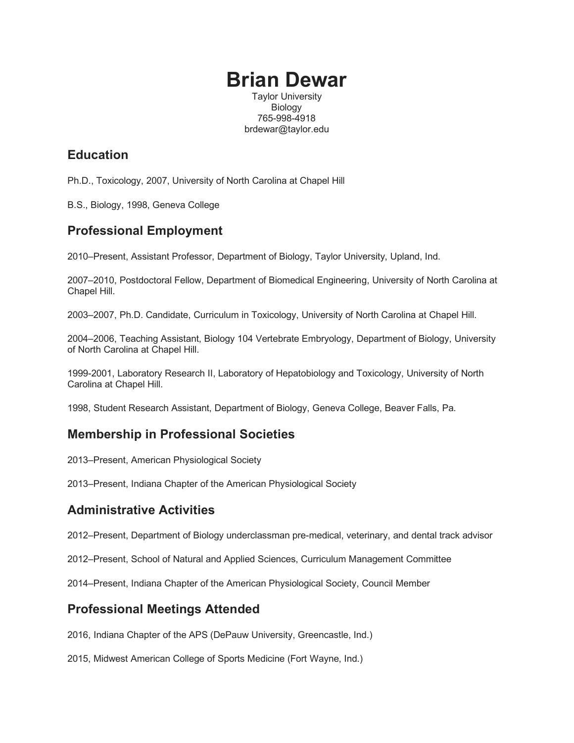# **Brian Dewar**

Taylor University Biology 765-998-4918 brdewar@taylor.edu

### **Education**

Ph.D., Toxicology, 2007, University of North Carolina at Chapel Hill

B.S., Biology, 1998, Geneva College

## **Professional Employment**

2010–Present, Assistant Professor, Department of Biology, Taylor University, Upland, Ind.

2007–2010, Postdoctoral Fellow, Department of Biomedical Engineering, University of North Carolina at Chapel Hill.

2003–2007, Ph.D. Candidate, Curriculum in Toxicology, University of North Carolina at Chapel Hill.

2004–2006, Teaching Assistant, Biology 104 Vertebrate Embryology, Department of Biology, University of North Carolina at Chapel Hill.

1999-2001, Laboratory Research II, Laboratory of Hepatobiology and Toxicology, University of North Carolina at Chapel Hill.

1998, Student Research Assistant, Department of Biology, Geneva College, Beaver Falls, Pa.

#### **Membership in Professional Societies**

2013–Present, American Physiological Society

2013–Present, Indiana Chapter of the American Physiological Society

#### **Administrative Activities**

2012–Present, Department of Biology underclassman pre-medical, veterinary, and dental track advisor

2012–Present, School of Natural and Applied Sciences, Curriculum Management Committee

2014–Present, Indiana Chapter of the American Physiological Society, Council Member

#### **Professional Meetings Attended**

2016, Indiana Chapter of the APS (DePauw University, Greencastle, Ind.)

2015, Midwest American College of Sports Medicine (Fort Wayne, Ind.)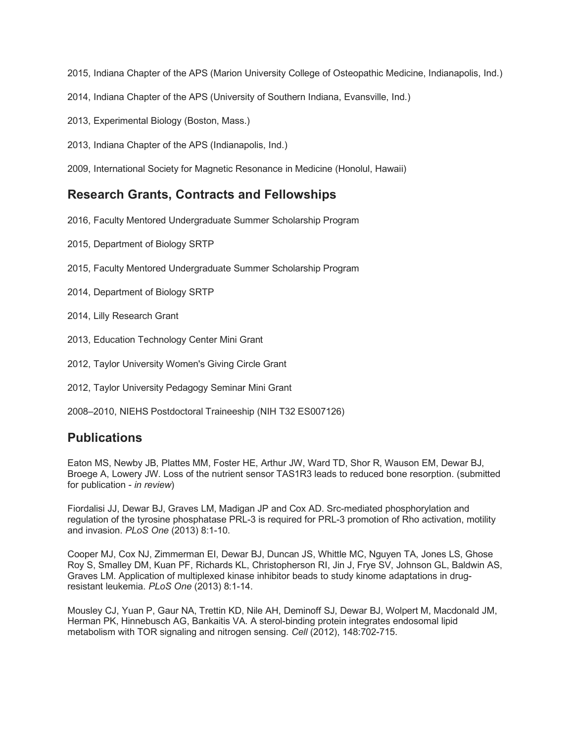2015, Indiana Chapter of the APS (Marion University College of Osteopathic Medicine, Indianapolis, Ind.)

- 2014, Indiana Chapter of the APS (University of Southern Indiana, Evansville, Ind.)
- 2013, Experimental Biology (Boston, Mass.)
- 2013, Indiana Chapter of the APS (Indianapolis, Ind.)

2009, International Society for Magnetic Resonance in Medicine (Honolul, Hawaii)

#### **Research Grants, Contracts and Fellowships**

2016, Faculty Mentored Undergraduate Summer Scholarship Program

- 2015, Department of Biology SRTP
- 2015, Faculty Mentored Undergraduate Summer Scholarship Program
- 2014, Department of Biology SRTP
- 2014, Lilly Research Grant
- 2013, Education Technology Center Mini Grant
- 2012, Taylor University Women's Giving Circle Grant
- 2012, Taylor University Pedagogy Seminar Mini Grant
- 2008–2010, NIEHS Postdoctoral Traineeship (NIH T32 ES007126)

#### **Publications**

Eaton MS, Newby JB, Plattes MM, Foster HE, Arthur JW, Ward TD, Shor R, Wauson EM, Dewar BJ, Broege A, Lowery JW. Loss of the nutrient sensor TAS1R3 leads to reduced bone resorption. (submitted for publication - *in review*)

Fiordalisi JJ, Dewar BJ, Graves LM, Madigan JP and Cox AD. Src-mediated phosphorylation and regulation of the tyrosine phosphatase PRL-3 is required for PRL-3 promotion of Rho activation, motility and invasion. *PLoS One* (2013) 8:1-10.

Cooper MJ, Cox NJ, Zimmerman EI, Dewar BJ, Duncan JS, Whittle MC, Nguyen TA, Jones LS, Ghose Roy S, Smalley DM, Kuan PF, Richards KL, Christopherson RI, Jin J, Frye SV, Johnson GL, Baldwin AS, Graves LM. Application of multiplexed kinase inhibitor beads to study kinome adaptations in drugresistant leukemia. *PLoS One* (2013) 8:1-14.

Mousley CJ, Yuan P, Gaur NA, Trettin KD, Nile AH, Deminoff SJ, Dewar BJ, Wolpert M, Macdonald JM, Herman PK, Hinnebusch AG, Bankaitis VA. A sterol-binding protein integrates endosomal lipid metabolism with TOR signaling and nitrogen sensing. *Cell* (2012), 148:702-715.